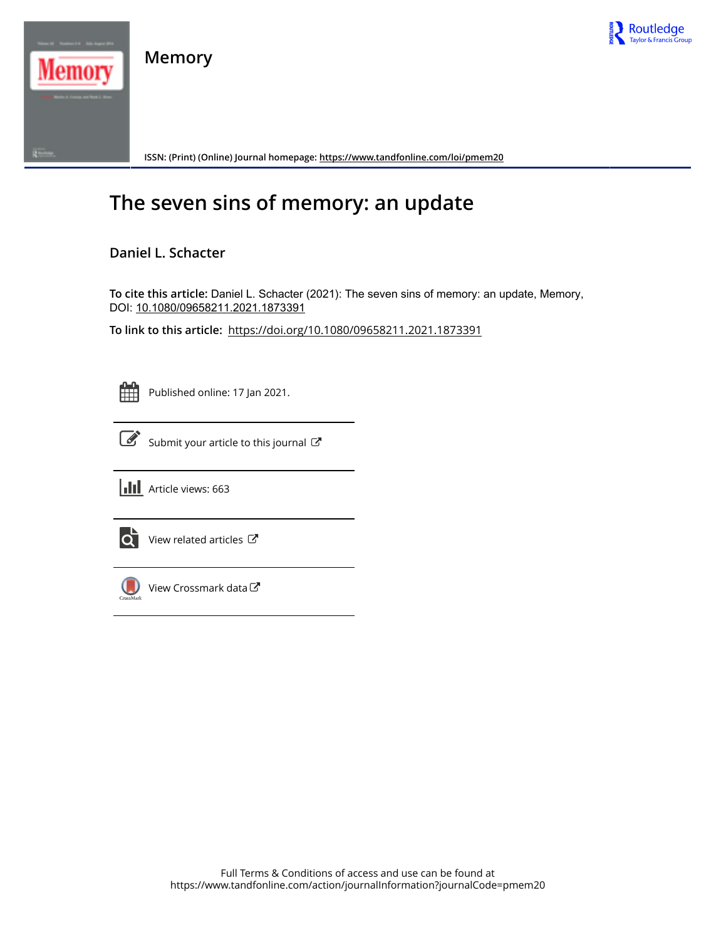

**Memory**



**ISSN: (Print) (Online) Journal homepage:<https://www.tandfonline.com/loi/pmem20>**

# **The seven sins of memory: an update**

# **Daniel L. Schacter**

**To cite this article:** Daniel L. Schacter (2021): The seven sins of memory: an update, Memory, DOI: [10.1080/09658211.2021.1873391](https://www.tandfonline.com/action/showCitFormats?doi=10.1080/09658211.2021.1873391)

**To link to this article:** <https://doi.org/10.1080/09658211.2021.1873391>

Published online: 17 Jan 2021.

|--|

Submit your article to this journal





 $\bullet$  [View related articles](https://www.tandfonline.com/doi/mlt/10.1080/09658211.2021.1873391)  $\sigma$ 



[View Crossmark data](http://crossmark.crossref.org/dialog/?doi=10.1080/09658211.2021.1873391&domain=pdf&date_stamp=2021-01-17)  $\mathbb{Z}$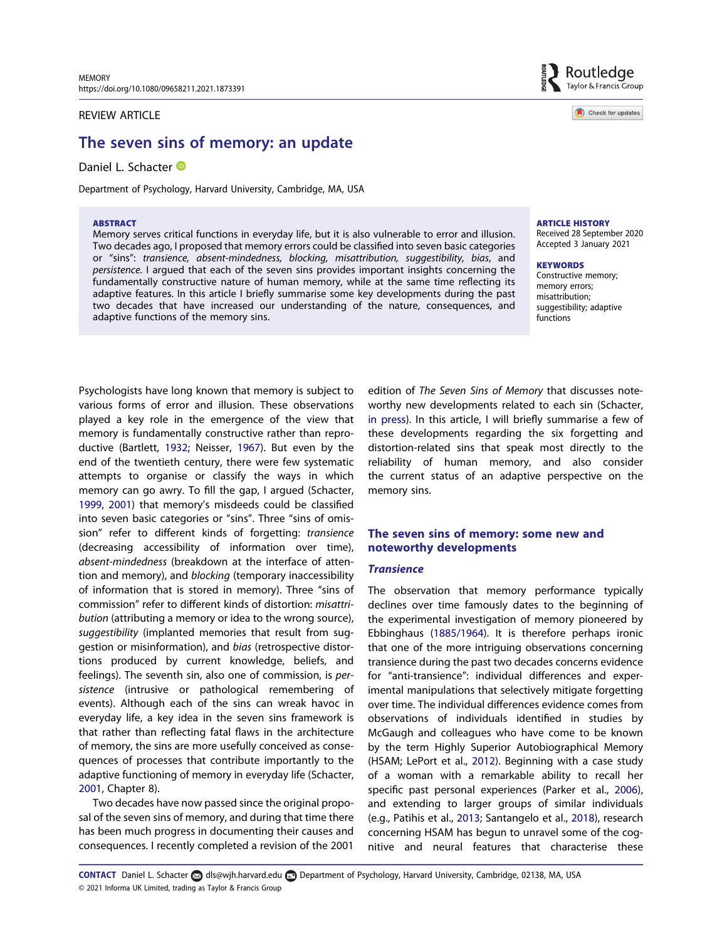#### REVIEW ARTICLE

# The seven sins of memory: an update

Daniel L. Schacter <sup>®</sup>

Department of Psychology, Harvard University, Cambridge, MA, USA

#### ABSTRACT

Memory serves critical functions in everyday life, but it is also vulnerable to error and illusion. Two decades ago, I proposed that memory errors could be classified into seven basic categories or "sins": transience, absent-mindedness, blocking, misattribution, suggestibility, bias, and persistence. I argued that each of the seven sins provides important insights concerning the fundamentally constructive nature of human memory, while at the same time reflecting its adaptive features. In this article I briefly summarise some key developments during the past two decades that have increased our understanding of the nature, consequences, and adaptive functions of the memory sins.



Check for updates

ARTICLE HISTORY Received 28 September 2020

Accepted 3 January 2021

**KEYWORDS** Constructive memory; memory errors; misattribution; suggestibility; adaptive functions

<span id="page-1-5"></span><span id="page-1-0"></span>Psychologists have long known that memory is subject to various forms of error and illusion. These observations played a key role in the emergence of the view that memory is fundamentally constructive rather than reproductive (Bartlett, [1932;](#page-5-0) Neisser, [1967\)](#page-6-0). But even by the end of the twentieth century, there were few systematic attempts to organise or classify the ways in which memory can go awry. To fill the gap, I argued (Schacter, [1999,](#page-6-1) [2001](#page-6-2)) that memory's misdeeds could be classified into seven basic categories or "sins". Three "sins of omission" refer to different kinds of forgetting: transience (decreasing accessibility of information over time), absent-mindedness (breakdown at the interface of attention and memory), and blocking (temporary inaccessibility of information that is stored in memory). Three "sins of commission" refer to different kinds of distortion: misattribution (attributing a memory or idea to the wrong source), suggestibility (implanted memories that result from suggestion or misinformation), and bias (retrospective distortions produced by current knowledge, beliefs, and feelings). The seventh sin, also one of commission, is persistence (intrusive or pathological remembering of events). Although each of the sins can wreak havoc in everyday life, a key idea in the seven sins framework is that rather than reflecting fatal flaws in the architecture of memory, the sins are more usefully conceived as consequences of processes that contribute importantly to the adaptive functioning of memory in everyday life (Schacter, [2001,](#page-6-2) Chapter 8).

<span id="page-1-6"></span>Two decades have now passed since the original proposal of the seven sins of memory, and during that time there has been much progress in documenting their causes and consequences. I recently completed a revision of the 2001

<span id="page-1-7"></span>edition of The Seven Sins of Memory that discusses noteworthy new developments related to each sin (Schacter, [in press\)](#page-6-3). In this article, I will briefly summarise a few of these developments regarding the six forgetting and distortion-related sins that speak most directly to the reliability of human memory, and also consider the current status of an adaptive perspective on the memory sins.

# The seven sins of memory: some new and noteworthy developments

#### **Transience**

<span id="page-1-4"></span><span id="page-1-3"></span><span id="page-1-2"></span><span id="page-1-1"></span>The observation that memory performance typically declines over time famously dates to the beginning of the experimental investigation of memory pioneered by Ebbinghaus ([1885/1964](#page-5-1)). It is therefore perhaps ironic that one of the more intriguing observations concerning transience during the past two decades concerns evidence for "anti-transience": individual differences and experimental manipulations that selectively mitigate forgetting over time. The individual differences evidence comes from observations of individuals identified in studies by McGaugh and colleagues who have come to be known by the term Highly Superior Autobiographical Memory (HSAM; LePort et al., [2012](#page-5-2)). Beginning with a case study of a woman with a remarkable ability to recall her specific past personal experiences (Parker et al., [2006](#page-6-4)), and extending to larger groups of similar individuals (e.g., Patihis et al., [2013](#page-6-5); Santangelo et al., [2018\)](#page-6-6), research concerning HSAM has begun to unravel some of the cognitive and neural features that characterise these

© 2021 Informa UK Limited, trading as Taylor & Francis Group CONTACT Daniel L. Schacter als@wjh.harvard.edu Department of Psychology, Harvard University, Cambridge, 02138, MA, USA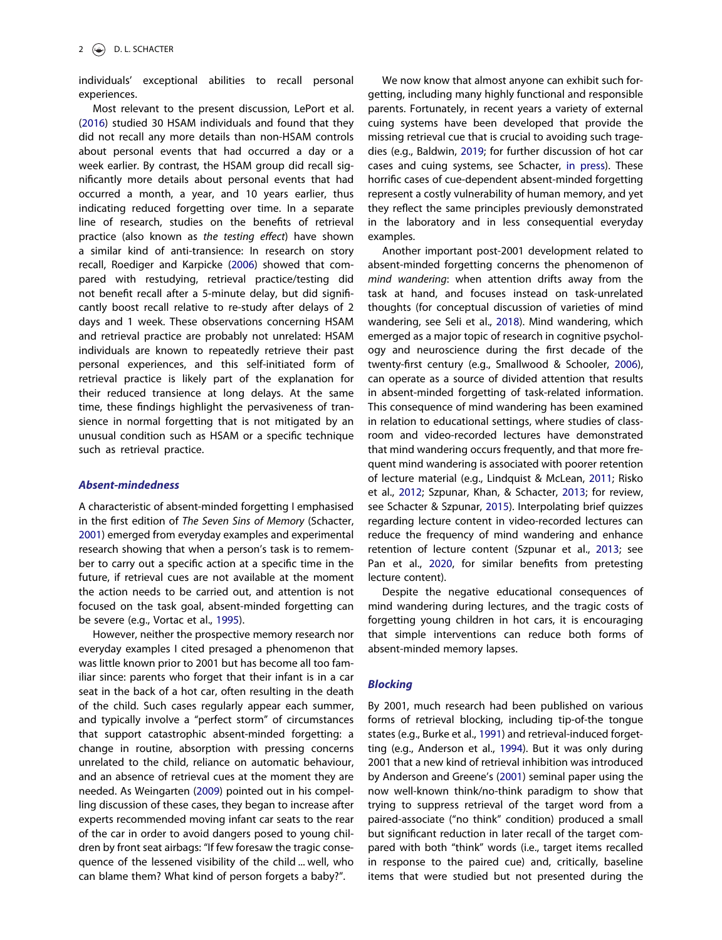individuals' exceptional abilities to recall personal experiences.

<span id="page-2-8"></span><span id="page-2-4"></span>Most relevant to the present discussion, LePort et al. [\(2016\)](#page-5-3) studied 30 HSAM individuals and found that they did not recall any more details than non-HSAM controls about personal events that had occurred a day or a week earlier. By contrast, the HSAM group did recall significantly more details about personal events that had occurred a month, a year, and 10 years earlier, thus indicating reduced forgetting over time. In a separate line of research, studies on the benefits of retrieval practice (also known as the testing effect) have shown a similar kind of anti-transience: In research on story recall, Roediger and Karpicke [\(2006\)](#page-6-7) showed that compared with restudying, retrieval practice/testing did not benefit recall after a 5-minute delay, but did significantly boost recall relative to re-study after delays of 2 days and 1 week. These observations concerning HSAM and retrieval practice are probably not unrelated: HSAM individuals are known to repeatedly retrieve their past personal experiences, and this self-initiated form of retrieval practice is likely part of the explanation for their reduced transience at long delays. At the same time, these findings highlight the pervasiveness of transience in normal forgetting that is not mitigated by an unusual condition such as HSAM or a specific technique such as retrieval practice.

#### Absent-mindedness

A characteristic of absent-minded forgetting I emphasised in the first edition of The Seven Sins of Memory (Schacter, [2001\)](#page-6-2) emerged from everyday examples and experimental research showing that when a person's task is to remember to carry out a specific action at a specific time in the future, if retrieval cues are not available at the moment the action needs to be carried out, and attention is not focused on the task goal, absent-minded forgetting can be severe (e.g., Vortac et al., [1995\)](#page-6-8).

<span id="page-2-14"></span><span id="page-2-13"></span>However, neither the prospective memory research nor everyday examples I cited presaged a phenomenon that was little known prior to 2001 but has become all too familiar since: parents who forget that their infant is in a car seat in the back of a hot car, often resulting in the death of the child. Such cases regularly appear each summer, and typically involve a "perfect storm" of circumstances that support catastrophic absent-minded forgetting: a change in routine, absorption with pressing concerns unrelated to the child, reliance on automatic behaviour, and an absence of retrieval cues at the moment they are needed. As Weingarten ([2009](#page-6-9)) pointed out in his compelling discussion of these cases, they began to increase after experts recommended moving infant car seats to the rear of the car in order to avoid dangers posed to young children by front seat airbags: "If few foresaw the tragic consequence of the lessened visibility of the child ... well, who can blame them? What kind of person forgets a baby?".

<span id="page-2-2"></span>We now know that almost anyone can exhibit such forgetting, including many highly functional and responsible parents. Fortunately, in recent years a variety of external cuing systems have been developed that provide the missing retrieval cue that is crucial to avoiding such tragedies (e.g., Baldwin, [2019](#page-5-4); for further discussion of hot car cases and cuing systems, see Schacter, [in press\)](#page-6-3). These horrific cases of cue-dependent absent-minded forgetting represent a costly vulnerability of human memory, and yet they reflect the same principles previously demonstrated in the laboratory and in less consequential everyday examples.

<span id="page-2-11"></span><span id="page-2-10"></span>Another important post-2001 development related to absent-minded forgetting concerns the phenomenon of mind wandering: when attention drifts away from the task at hand, and focuses instead on task-unrelated thoughts (for conceptual discussion of varieties of mind wandering, see Seli et al., [2018](#page-6-10)). Mind wandering, which emerged as a major topic of research in cognitive psychology and neuroscience during the first decade of the twenty-first century (e.g., Smallwood & Schooler, [2006](#page-6-11)), can operate as a source of divided attention that results in absent-minded forgetting of task-related information. This consequence of mind wandering has been examined in relation to educational settings, where studies of classroom and video-recorded lectures have demonstrated that mind wandering occurs frequently, and that more frequent mind wandering is associated with poorer retention of lecture material (e.g., Lindquist & McLean, [2011;](#page-5-5) Risko et al., [2012](#page-6-12); Szpunar, Khan, & Schacter, [2013](#page-6-13); for review, see Schacter & Szpunar, [2015\)](#page-6-14). Interpolating brief quizzes regarding lecture content in video-recorded lectures can reduce the frequency of mind wandering and enhance retention of lecture content (Szpunar et al., [2013;](#page-6-13) see Pan et al., [2020,](#page-6-15) for similar benefits from pretesting lecture content).

<span id="page-2-12"></span><span id="page-2-9"></span><span id="page-2-7"></span><span id="page-2-6"></span><span id="page-2-5"></span>Despite the negative educational consequences of mind wandering during lectures, and the tragic costs of forgetting young children in hot cars, it is encouraging that simple interventions can reduce both forms of absent-minded memory lapses.

#### **Blocking**

<span id="page-2-3"></span><span id="page-2-1"></span><span id="page-2-0"></span>By 2001, much research had been published on various forms of retrieval blocking, including tip-of-the tongue states (e.g., Burke et al., [1991\)](#page-5-6) and retrieval-induced forgetting (e.g., Anderson et al., [1994](#page-5-7)). But it was only during 2001 that a new kind of retrieval inhibition was introduced by Anderson and Greene's ([2001](#page-5-8)) seminal paper using the now well-known think/no-think paradigm to show that trying to suppress retrieval of the target word from a paired-associate ("no think" condition) produced a small but significant reduction in later recall of the target compared with both "think" words (i.e., target items recalled in response to the paired cue) and, critically, baseline items that were studied but not presented during the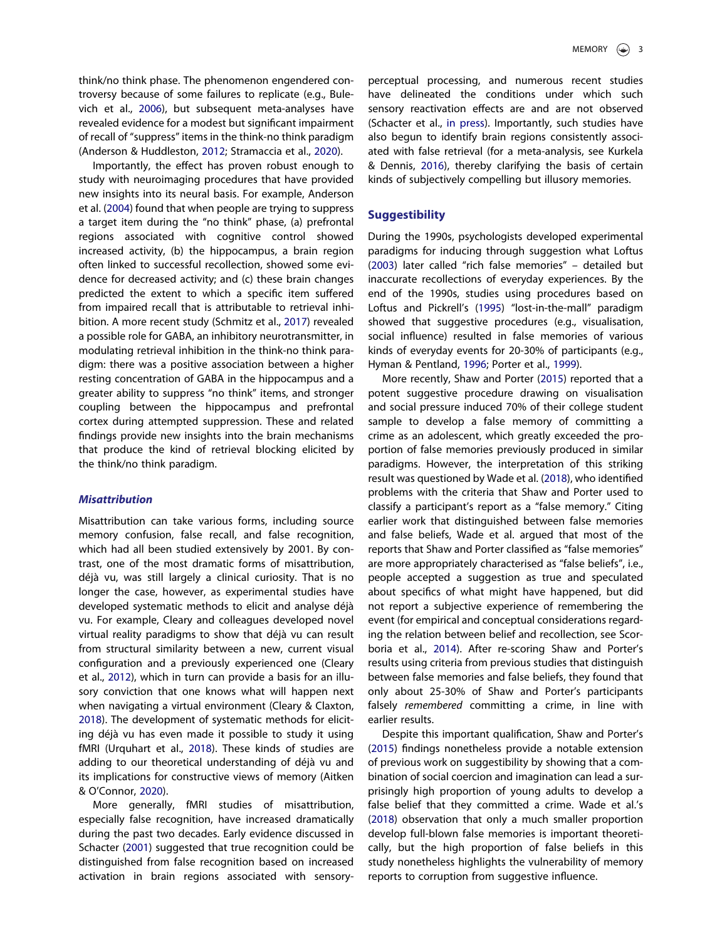<span id="page-3-3"></span>think/no think phase. The phenomenon engendered controversy because of some failures to replicate (e.g., Bulevich et al., [2006\)](#page-5-9), but subsequent meta-analyses have revealed evidence for a modest but significant impairment of recall of "suppress" items in the think-no think paradigm (Anderson & Huddleston, [2012;](#page-5-10) Stramaccia et al., [2020\)](#page-6-16).

<span id="page-3-11"></span><span id="page-3-2"></span><span id="page-3-1"></span>Importantly, the effect has proven robust enough to study with neuroimaging procedures that have provided new insights into its neural basis. For example, Anderson et al. [\(2004\)](#page-5-11) found that when people are trying to suppress a target item during the "no think" phase, (a) prefrontal regions associated with cognitive control showed increased activity, (b) the hippocampus, a brain region often linked to successful recollection, showed some evidence for decreased activity; and (c) these brain changes predicted the extent to which a specific item suffered from impaired recall that is attributable to retrieval inhibition. A more recent study (Schmitz et al., [2017](#page-6-17)) revealed a possible role for GABA, an inhibitory neurotransmitter, in modulating retrieval inhibition in the think-no think paradigm: there was a positive association between a higher resting concentration of GABA in the hippocampus and a greater ability to suppress "no think" items, and stronger coupling between the hippocampus and prefrontal cortex during attempted suppression. These and related findings provide new insights into the brain mechanisms that produce the kind of retrieval blocking elicited by the think/no think paradigm.

#### Misattribution

Misattribution can take various forms, including source memory confusion, false recall, and false recognition, which had all been studied extensively by 2001. By contrast, one of the most dramatic forms of misattribution, déjà vu, was still largely a clinical curiosity. That is no longer the case, however, as experimental studies have developed systematic methods to elicit and analyse déjà vu. For example, Cleary and colleagues developed novel virtual reality paradigms to show that déjà vu can result from structural similarity between a new, current visual configuration and a previously experienced one (Cleary et al., [2012\)](#page-5-12), which in turn can provide a basis for an illusory conviction that one knows what will happen next when navigating a virtual environment (Cleary & Claxton, [2018\)](#page-5-13). The development of systematic methods for eliciting déjà vu has even made it possible to study it using fMRI (Urquhart et al., [2018\)](#page-6-18). These kinds of studies are adding to our theoretical understanding of déjà vu and its implications for constructive views of memory (Aitken & O'Connor, [2020](#page-5-14)).

<span id="page-3-14"></span><span id="page-3-5"></span><span id="page-3-4"></span><span id="page-3-0"></span>More generally, fMRI studies of misattribution, especially false recognition, have increased dramatically during the past two decades. Early evidence discussed in Schacter [\(2001\)](#page-6-2) suggested that true recognition could be distinguished from false recognition based on increased activation in brain regions associated with sensory<span id="page-3-10"></span>perceptual processing, and numerous recent studies have delineated the conditions under which such sensory reactivation effects are and are not observed (Schacter et al., [in press](#page-6-19)). Importantly, such studies have also begun to identify brain regions consistently associated with false retrieval (for a meta-analysis, see Kurkela & Dennis, [2016\)](#page-5-15), thereby clarifying the basis of certain kinds of subjectively compelling but illusory memories.

#### <span id="page-3-7"></span>**Suggestibility**

<span id="page-3-9"></span><span id="page-3-8"></span>During the 1990s, psychologists developed experimental paradigms for inducing through suggestion what Loftus [\(2003\)](#page-6-20) later called "rich false memories" – detailed but inaccurate recollections of everyday experiences. By the end of the 1990s, studies using procedures based on Loftus and Pickrell's ([1995](#page-6-21)) "lost-in-the-mall" paradigm showed that suggestive procedures (e.g., visualisation, social influence) resulted in false memories of various kinds of everyday events for 20-30% of participants (e.g., Hyman & Pentland, [1996;](#page-5-16) Porter et al., [1999\)](#page-6-22).

<span id="page-3-6"></span>More recently, Shaw and Porter [\(2015\)](#page-6-23) reported that a potent suggestive procedure drawing on visualisation and social pressure induced 70% of their college student sample to develop a false memory of committing a crime as an adolescent, which greatly exceeded the proportion of false memories previously produced in similar paradigms. However, the interpretation of this striking result was questioned by Wade et al. [\(2018\)](#page-6-24), who identified problems with the criteria that Shaw and Porter used to classify a participant's report as a "false memory." Citing earlier work that distinguished between false memories and false beliefs, Wade et al. argued that most of the reports that Shaw and Porter classified as "false memories" are more appropriately characterised as "false beliefs", i.e., people accepted a suggestion as true and speculated about specifics of what might have happened, but did not report a subjective experience of remembering the event (for empirical and conceptual considerations regarding the relation between belief and recollection, see Scorboria et al., [2014](#page-6-25)). After re-scoring Shaw and Porter's results using criteria from previous studies that distinguish between false memories and false beliefs, they found that only about 25-30% of Shaw and Porter's participants falsely remembered committing a crime, in line with earlier results.

<span id="page-3-15"></span><span id="page-3-13"></span><span id="page-3-12"></span>Despite this important qualification, Shaw and Porter's [\(2015\)](#page-6-23) findings nonetheless provide a notable extension of previous work on suggestibility by showing that a combination of social coercion and imagination can lead a surprisingly high proportion of young adults to develop a false belief that they committed a crime. Wade et al.'s [\(2018\)](#page-6-24) observation that only a much smaller proportion develop full-blown false memories is important theoretically, but the high proportion of false beliefs in this study nonetheless highlights the vulnerability of memory reports to corruption from suggestive influence.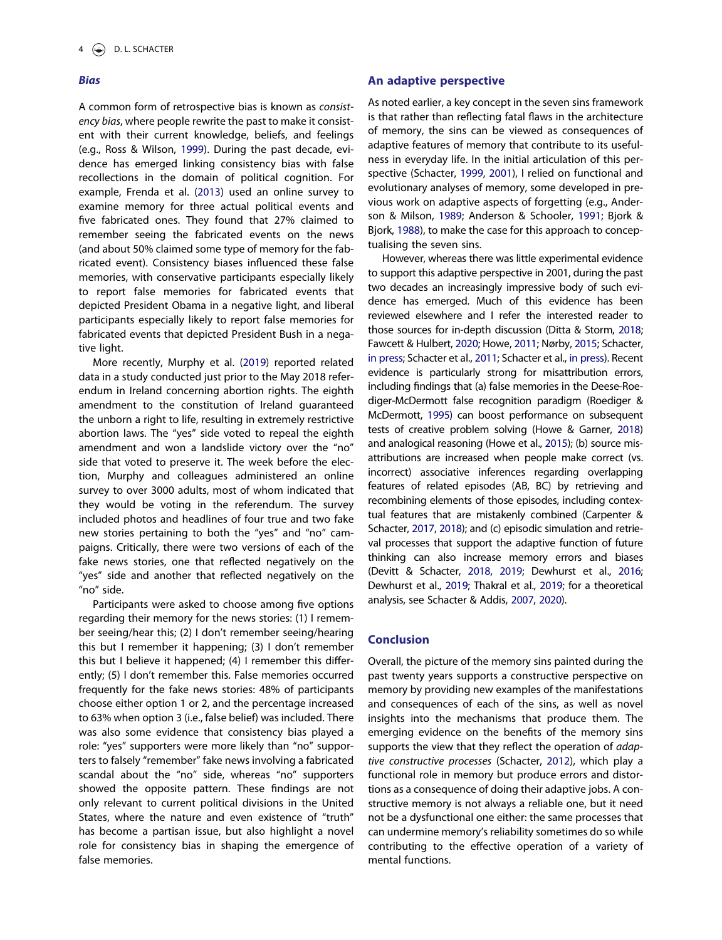#### **Bias**

<span id="page-4-12"></span><span id="page-4-7"></span>A common form of retrospective bias is known as consistency bias, where people rewrite the past to make it consistent with their current knowledge, beliefs, and feelings (e.g., Ross & Wilson, [1999](#page-6-26)). During the past decade, evidence has emerged linking consistency bias with false recollections in the domain of political cognition. For example, Frenda et al. ([2013](#page-5-17)) used an online survey to examine memory for three actual political events and five fabricated ones. They found that 27% claimed to remember seeing the fabricated events on the news (and about 50% claimed some type of memory for the fabricated event). Consistency biases influenced these false memories, with conservative participants especially likely to report false memories for fabricated events that depicted President Obama in a negative light, and liberal participants especially likely to report false memories for fabricated events that depicted President Bush in a negative light.

<span id="page-4-10"></span>More recently, Murphy et al. [\(2019\)](#page-6-27) reported related data in a study conducted just prior to the May 2018 referendum in Ireland concerning abortion rights. The eighth amendment to the constitution of Ireland guaranteed the unborn a right to life, resulting in extremely restrictive abortion laws. The "yes" side voted to repeal the eighth amendment and won a landslide victory over the "no" side that voted to preserve it. The week before the election, Murphy and colleagues administered an online survey to over 3000 adults, most of whom indicated that they would be voting in the referendum. The survey included photos and headlines of four true and two fake new stories pertaining to both the "yes" and "no" campaigns. Critically, there were two versions of each of the fake news stories, one that reflected negatively on the "yes" side and another that reflected negatively on the "no" side.

Participants were asked to choose among five options regarding their memory for the news stories: (1) I remember seeing/hear this; (2) I don't remember seeing/hearing this but I remember it happening; (3) I don't remember this but I believe it happened; (4) I remember this differently; (5) I don't remember this. False memories occurred frequently for the fake news stories: 48% of participants choose either option 1 or 2, and the percentage increased to 63% when option 3 (i.e., false belief) was included. There was also some evidence that consistency bias played a role: "yes" supporters were more likely than "no" supporters to falsely "remember" fake news involving a fabricated scandal about the "no" side, whereas "no" supporters showed the opposite pattern. These findings are not only relevant to current political divisions in the United States, where the nature and even existence of "truth" has become a partisan issue, but also highlight a novel role for consistency bias in shaping the emergence of false memories.

#### An adaptive perspective

As noted earlier, a key concept in the seven sins framework is that rather than reflecting fatal flaws in the architecture of memory, the sins can be viewed as consequences of adaptive features of memory that contribute to its usefulness in everyday life. In the initial articulation of this perspective (Schacter, [1999,](#page-6-1) [2001](#page-6-2)), I relied on functional and evolutionary analyses of memory, some developed in previous work on adaptive aspects of forgetting (e.g., Anderson & Milson, [1989;](#page-5-18) Anderson & Schooler, [1991;](#page-5-19) Bjork & Bjork, [1988\)](#page-5-20), to make the case for this approach to conceptualising the seven sins.

<span id="page-4-15"></span><span id="page-4-11"></span><span id="page-4-9"></span><span id="page-4-8"></span><span id="page-4-6"></span><span id="page-4-5"></span><span id="page-4-1"></span><span id="page-4-0"></span>However, whereas there was little experimental evidence to support this adaptive perspective in 2001, during the past two decades an increasingly impressive body of such evidence has emerged. Much of this evidence has been reviewed elsewhere and I refer the interested reader to those sources for in-depth discussion (Ditta & Storm, [2018](#page-5-21); Fawcett & Hulbert, [2020](#page-5-22); Howe, [2011](#page-5-23); Nørby, [2015](#page-6-28); Schacter, [in press](#page-6-3); Schacter et al., [2011;](#page-6-29) Schacter et al., [in press\)](#page-6-19). Recent evidence is particularly strong for misattribution errors, including findings that (a) false memories in the Deese-Roediger-McDermott false recognition paradigm (Roediger & McDermott, [1995\)](#page-6-30) can boost performance on subsequent tests of creative problem solving (Howe & Garner, [2018](#page-5-24)) and analogical reasoning (Howe et al., [2015](#page-5-25)); (b) source misattributions are increased when people make correct (vs. incorrect) associative inferences regarding overlapping features of related episodes (AB, BC) by retrieving and recombining elements of those episodes, including contextual features that are mistakenly combined (Carpenter & Schacter, [2017,](#page-5-26) [2018\)](#page-5-27); and (c) episodic simulation and retrieval processes that support the adaptive function of future thinking can also increase memory errors and biases (Devitt & Schacter, [2018,](#page-5-28) [2019;](#page-5-29) Dewhurst et al., [2016;](#page-5-30) Dewhurst et al., [2019;](#page-5-31) Thakral et al., [2019;](#page-6-31) for a theoretical analysis, see Schacter & Addis, [2007](#page-6-32), [2020](#page-6-33)).

# <span id="page-4-14"></span><span id="page-4-4"></span><span id="page-4-3"></span><span id="page-4-2"></span>Conclusion

<span id="page-4-13"></span>Overall, the picture of the memory sins painted during the past twenty years supports a constructive perspective on memory by providing new examples of the manifestations and consequences of each of the sins, as well as novel insights into the mechanisms that produce them. The emerging evidence on the benefits of the memory sins supports the view that they reflect the operation of adaptive constructive processes (Schacter, [2012](#page-6-34)), which play a functional role in memory but produce errors and distortions as a consequence of doing their adaptive jobs. A constructive memory is not always a reliable one, but it need not be a dysfunctional one either: the same processes that can undermine memory's reliability sometimes do so while contributing to the effective operation of a variety of mental functions.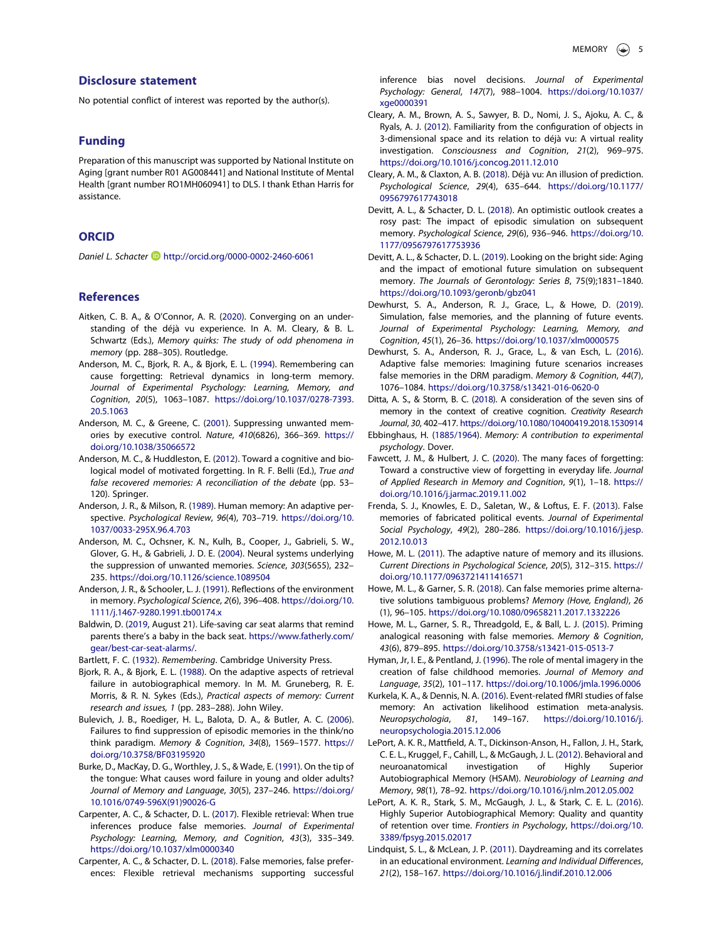## Disclosure statement

No potential conflict of interest was reported by the author(s).

## Funding

Preparation of this manuscript was supported by National Institute on Aging [grant number R01 AG008441] and National Institute of Mental Health [grant number RO1MH060941] to DLS. I thank Ethan Harris for assistance.

# ORCID

Daniel L. Schacter D <http://orcid.org/0000-0002-2460-6061>

#### References

- <span id="page-5-14"></span>Aitken, C. B. A., & O'Connor, A. R. ([2020\)](#page-3-0). Converging on an understanding of the déjà vu experience. In A. M. Cleary, & B. L. Schwartz (Eds.), Memory quirks: The study of odd phenomena in memory (pp. 288–305). Routledge.
- <span id="page-5-7"></span>Anderson, M. C., Bjork, R. A., & Bjork, E. L. [\(1994\)](#page-2-0). Remembering can cause forgetting: Retrieval dynamics in long-term memory. Journal of Experimental Psychology: Learning, Memory, and Cognition, 20(5), 1063–1087. [https://doi.org/10.1037/0278-7393.](https://doi.org/10.1037/0278-7393.20.5.1063) [20.5.1063](https://doi.org/10.1037/0278-7393.20.5.1063)
- <span id="page-5-8"></span>Anderson, M. C., & Greene, C. [\(2001](#page-2-1)). Suppressing unwanted memories by executive control. Nature, 410(6826), 366–369. [https://](https://doi.org/10.1038/35066572) [doi.org/10.1038/35066572](https://doi.org/10.1038/35066572)
- <span id="page-5-10"></span>Anderson, M. C., & Huddleston, E. [\(2012\)](#page-3-1). Toward a cognitive and biological model of motivated forgetting. In R. F. Belli (Ed.), True and false recovered memories: A reconciliation of the debate (pp. 53– 120). Springer.
- <span id="page-5-18"></span>Anderson, J. R., & Milson, R. ([1989](#page-4-0)). Human memory: An adaptive perspective. Psychological Review, 96(4), 703–719. [https://doi.org/10.](https://doi.org/10.1037/0033-295X.96.4.703) [1037/0033-295X.96.4.703](https://doi.org/10.1037/0033-295X.96.4.703)
- <span id="page-5-11"></span>Anderson, M. C., Ochsner, K. N., Kulh, B., Cooper, J., Gabrieli, S. W., Glover, G. H., & Gabrieli, J. D. E. [\(2004\)](#page-3-2). Neural systems underlying the suppression of unwanted memories. Science, 303(5655), 232– 235. <https://doi.org/10.1126/science.1089504>
- <span id="page-5-19"></span>Anderson, J. R., & Schooler, L. J. [\(1991\)](#page-4-0). Reflections of the environment in memory. Psychological Science, 2(6), 396–408. [https://doi.org/10.](https://doi.org/10.1111/j.1467-9280.1991.tb00174.x) [1111/j.1467-9280.1991.tb00174.x](https://doi.org/10.1111/j.1467-9280.1991.tb00174.x)
- <span id="page-5-4"></span>Baldwin, D. [\(2019,](#page-2-2) August 21). Life-saving car seat alarms that remind parents there's a baby in the back seat. [https://www.fatherly.com/](https://www.fatherly.com/gear/best-car-seat-alarms/) [gear/best-car-seat-alarms/](https://www.fatherly.com/gear/best-car-seat-alarms/).
- <span id="page-5-20"></span><span id="page-5-0"></span>Bartlett, F. C. [\(1932](#page-1-0)). Remembering. Cambridge University Press.
- Bjork, R. A., & Bjork, E. L. ([1988](#page-4-1)). On the adaptive aspects of retrieval failure in autobiographical memory. In M. M. Gruneberg, R. E. Morris, & R. N. Sykes (Eds.), Practical aspects of memory: Current research and issues, 1 (pp. 283–288). John Wiley.
- <span id="page-5-9"></span>Bulevich, J. B., Roediger, H. L., Balota, D. A., & Butler, A. C. [\(2006\)](#page-3-3). Failures to find suppression of episodic memories in the think/no think paradigm. Memory & Cognition, 34(8), 1569–1577. [https://](https://doi.org/10.3758/BF03195920) [doi.org/10.3758/BF03195920](https://doi.org/10.3758/BF03195920)
- <span id="page-5-6"></span>Burke, D., MacKay, D. G., Worthley, J. S., & Wade, E. ([1991](#page-2-3)). On the tip of the tongue: What causes word failure in young and older adults? Journal of Memory and Language, 30(5), 237–246. [https://doi.org/](https://doi.org/10.1016/0749-596X(91)90026-G) [10.1016/0749-596X\(91\)90026-G](https://doi.org/10.1016/0749-596X(91)90026-G)
- <span id="page-5-26"></span>Carpenter, A. C., & Schacter, D. L. [\(2017\)](#page-4-2). Flexible retrieval: When true inferences produce false memories. Journal of Experimental Psychology: Learning, Memory, and Cognition, 43(3), 335–349. <https://doi.org/10.1037/xlm0000340>
- <span id="page-5-27"></span>Carpenter, A. C., & Schacter, D. L. [\(2018\)](#page-4-2). False memories, false preferences: Flexible retrieval mechanisms supporting successful

inference bias novel decisions. Journal of Experimental Psychology: General, 147(7), 988–1004. [https://doi.org/10.1037/](https://doi.org/10.1037/xge0000391) [xge0000391](https://doi.org/10.1037/xge0000391)

- <span id="page-5-12"></span>Cleary, A. M., Brown, A. S., Sawyer, B. D., Nomi, J. S., Ajoku, A. C., & Ryals, A. J. [\(2012\)](#page-3-4). Familiarity from the configuration of objects in 3-dimensional space and its relation to déjà vu: A virtual reality investigation. Consciousness and Cognition, 21(2), 969–975. <https://doi.org/10.1016/j.concog.2011.12.010>
- <span id="page-5-13"></span>Cleary, A. M., & Claxton, A. B. ([2018](#page-3-5)). Déjà vu: An illusion of prediction. Psychological Science, 29(4), 635–644. [https://doi.org/10.1177/](https://doi.org/10.1177/0956797617743018) [0956797617743018](https://doi.org/10.1177/0956797617743018)
- <span id="page-5-28"></span>Devitt, A. L., & Schacter, D. L. ([2018](#page-4-3)). An optimistic outlook creates a rosy past: The impact of episodic simulation on subsequent memory. Psychological Science, 29(6), 936–946. [https://doi.org/10.](https://doi.org/10.1177/0956797617753936) [1177/0956797617753936](https://doi.org/10.1177/0956797617753936)
- <span id="page-5-29"></span>Devitt, A. L., & Schacter, D. L. ([2019](#page-4-3)). Looking on the bright side: Aging and the impact of emotional future simulation on subsequent memory. The Journals of Gerontology: Series B, 75(9);1831–1840. <https://doi.org/10.1093/geronb/gbz041>
- <span id="page-5-31"></span>Dewhurst, S. A., Anderson, R. J., Grace, L., & Howe, D. ([2019](#page-4-4)). Simulation, false memories, and the planning of future events. Journal of Experimental Psychology: Learning, Memory, and Cognition, 45(1), 26–36. <https://doi.org/10.1037/xlm0000575>
- <span id="page-5-30"></span>Dewhurst, S. A., Anderson, R. J., Grace, L., & van Esch, L. ([2016](#page-4-3)). Adaptive false memories: Imagining future scenarios increases false memories in the DRM paradigm. Memory & Cognition, 44(7), 1076–1084. <https://doi.org/10.3758/s13421-016-0620-0>
- <span id="page-5-21"></span>Ditta, A. S., & Storm, B. C. ([2018](#page-4-5)). A consideration of the seven sins of memory in the context of creative cognition. Creativity Research Journal, 30, 402–417. <https://doi.org/10.1080/10400419.2018.1530914>
- <span id="page-5-1"></span>Ebbinghaus, H. [\(1885/1964\)](#page-1-1). Memory: A contribution to experimental psychology. Dover.
- <span id="page-5-22"></span>Fawcett, J. M., & Hulbert, J. C. [\(2020](#page-4-6)). The many faces of forgetting: Toward a constructive view of forgetting in everyday life. Journal of Applied Research in Memory and Cognition, 9(1), 1–18. [https://](https://doi.org/10.1016/j.jarmac.2019.11.002) [doi.org/10.1016/j.jarmac.2019.11.002](https://doi.org/10.1016/j.jarmac.2019.11.002)
- <span id="page-5-17"></span>Frenda, S. J., Knowles, E. D., Saletan, W., & Loftus, E. F. ([2013](#page-4-7)). False memories of fabricated political events. Journal of Experimental Social Psychology, 49(2), 280–286. [https://doi.org/10.1016/j.jesp.](https://doi.org/10.1016/j.jesp.2012.10.013) [2012.10.013](https://doi.org/10.1016/j.jesp.2012.10.013)
- <span id="page-5-23"></span>Howe, M. L. [\(2011\)](#page-4-6). The adaptive nature of memory and its illusions. Current Directions in Psychological Science, 20(5), 312–315. [https://](https://doi.org/10.1177/0963721411416571) [doi.org/10.1177/0963721411416571](https://doi.org/10.1177/0963721411416571)
- <span id="page-5-24"></span>Howe, M. L., & Garner, S. R. ([2018](#page-4-8)). Can false memories prime alternative solutions tambiguous problems? Memory (Hove, England), 26 (1), 96–105. <https://doi.org/10.1080/09658211.2017.1332226>
- <span id="page-5-25"></span>Howe, M. L., Garner, S. R., Threadgold, E., & Ball, L. J. ([2015](#page-4-9)). Priming analogical reasoning with false memories. Memory & Cognition, 43(6), 879–895. <https://doi.org/10.3758/s13421-015-0513-7>
- <span id="page-5-16"></span>Hyman, Jr, I. E., & Pentland, J. [\(1996\)](#page-3-6). The role of mental imagery in the creation of false childhood memories. Journal of Memory and Language, 35(2), 101–117. <https://doi.org/10.1006/jmla.1996.0006>
- <span id="page-5-15"></span>Kurkela, K. A., & Dennis, N. A. ([2016](#page-3-7)). Event-related fMRI studies of false memory: An activation likelihood estimation meta-analysis. Neuropsychologia, 81, 149–167. [https://doi.org/10.1016/j.](https://doi.org/10.1016/j.neuropsychologia.2015.12.006) [neuropsychologia.2015.12.006](https://doi.org/10.1016/j.neuropsychologia.2015.12.006)
- <span id="page-5-2"></span>LePort, A. K. R., Mattfield, A. T., Dickinson-Anson, H., Fallon, J. H., Stark, C. E. L., Kruggel, F., Cahill, L., & McGaugh, J. L. [\(2012\)](#page-1-2). Behavioral and neuroanatomical investigation of Highly Superior Autobiographical Memory (HSAM). Neurobiology of Learning and Memory, 98(1), 78–92. <https://doi.org/10.1016/j.nlm.2012.05.002>
- <span id="page-5-3"></span>LePort, A. K. R., Stark, S. M., McGaugh, J. L., & Stark, C. E. L. ([2016](#page-2-4)). Highly Superior Autobiographical Memory: Quality and quantity of retention over time. Frontiers in Psychology, [https://doi.org/10.](https://doi.org/10.3389/fpsyg.2015.02017) [3389/fpsyg.2015.02017](https://doi.org/10.3389/fpsyg.2015.02017)
- <span id="page-5-5"></span>Lindquist, S. L., & McLean, J. P. ([2011](#page-2-5)). Daydreaming and its correlates in an educational environment. Learning and Individual Differences, 21(2), 158–167. <https://doi.org/10.1016/j.lindif.2010.12.006>